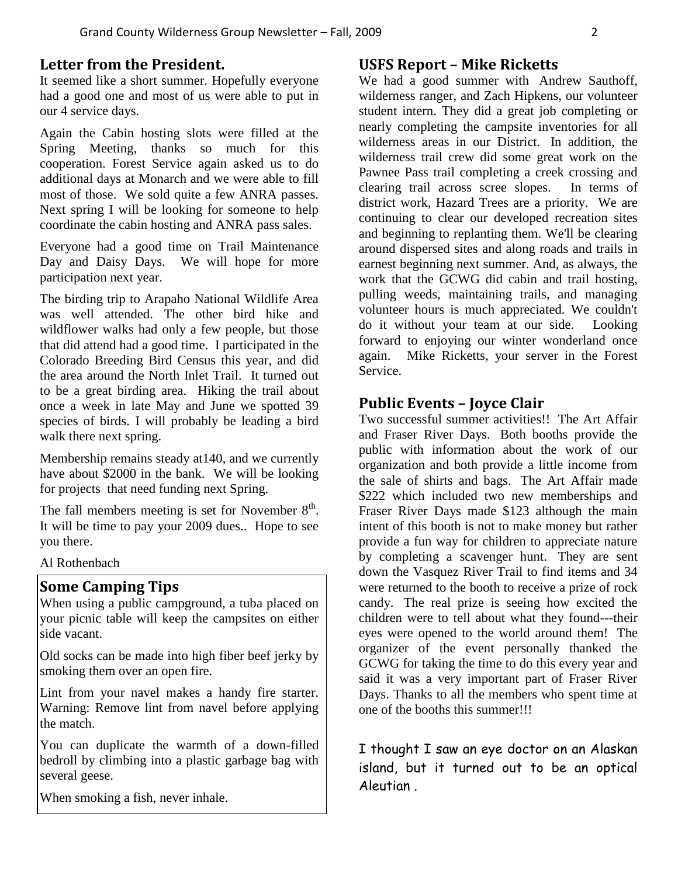### **Letter from the President.**

It seemed like a short summer. Hopefully everyone had a good one and most of us were able to put in our 4 service days.

Again the Cabin hosting slots were filled at the Spring Meeting, thanks so much for this cooperation. Forest Service again asked us to do additional days at Monarch and we were able to fill most of those. We sold quite a few ANRA passes. Next spring I will be looking for someone to help coordinate the cabin hosting and ANRA pass sales.

Everyone had a good time on Trail Maintenance Day and Daisy Days. We will hope for more participation next year.

The birding trip to Arapaho National Wildlife Area was well attended. The other bird hike and wildflower walks had only a few people, but those that did attend had a good time. I participated in the Colorado Breeding Bird Census this year, and did the area around the North Inlet Trail. It turned out to be a great birding area. Hiking the trail about once a week in late May and June we spotted 39 species of birds. I will probably be leading a bird walk there next spring.

Membership remains steady at140, and we currently have about \$2000 in the bank. We will be looking for projects that need funding next Spring.

The fall members meeting is set for November  $8<sup>th</sup>$ . It will be time to pay your 2009 dues.. Hope to see you there.

Al Rothenbach

#### **Some Camping Tips**

When using a public campground, a tuba placed on your picnic table will keep the campsites on either side vacant.

Old socks can be made into high fiber beef jerky by smoking them over an open fire.

Lint from your navel makes a handy fire starter. Warning: Remove lint from navel before applying the match.

You can duplicate the warmth of a down-filled bedroll by climbing into a plastic garbage bag with several geese.

When smoking a fish, never inhale.

### **USFS Report – Mike Ricketts**

We had a good summer with Andrew Sauthoff, wilderness ranger, and Zach Hipkens, our volunteer student intern. They did a great job completing or nearly completing the campsite inventories for all wilderness areas in our District. In addition, the wilderness trail crew did some great work on the Pawnee Pass trail completing a creek crossing and clearing trail across scree slopes. In terms of district work, Hazard Trees are a priority. We are continuing to clear our developed recreation sites and beginning to replanting them. We'll be clearing around dispersed sites and along roads and trails in earnest beginning next summer. And, as always, the work that the GCWG did cabin and trail hosting, pulling weeds, maintaining trails, and managing volunteer hours is much appreciated. We couldn't do it without your team at our side. Looking forward to enjoying our winter wonderland once again. Mike Ricketts, your server in the Forest Service.

### **Public Events – Joyce Clair**

Two successful summer activities!! The Art Affair and Fraser River Days. Both booths provide the public with information about the work of our organization and both provide a little income from the sale of shirts and bags. The Art Affair made \$222 which included two new memberships and Fraser River Days made \$123 although the main intent of this booth is not to make money but rather provide a fun way for children to appreciate nature by completing a scavenger hunt. They are sent down the Vasquez River Trail to find items and 34 were returned to the booth to receive a prize of rock candy. The real prize is seeing how excited the children were to tell about what they found---their eyes were opened to the world around them! The organizer of the event personally thanked the GCWG for taking the time to do this every year and said it was a very important part of Fraser River Days. Thanks to all the members who spent time at one of the booths this summer!!!

I thought I saw an eye doctor on an Alaskan island, but it turned out to be an optical Aleutian .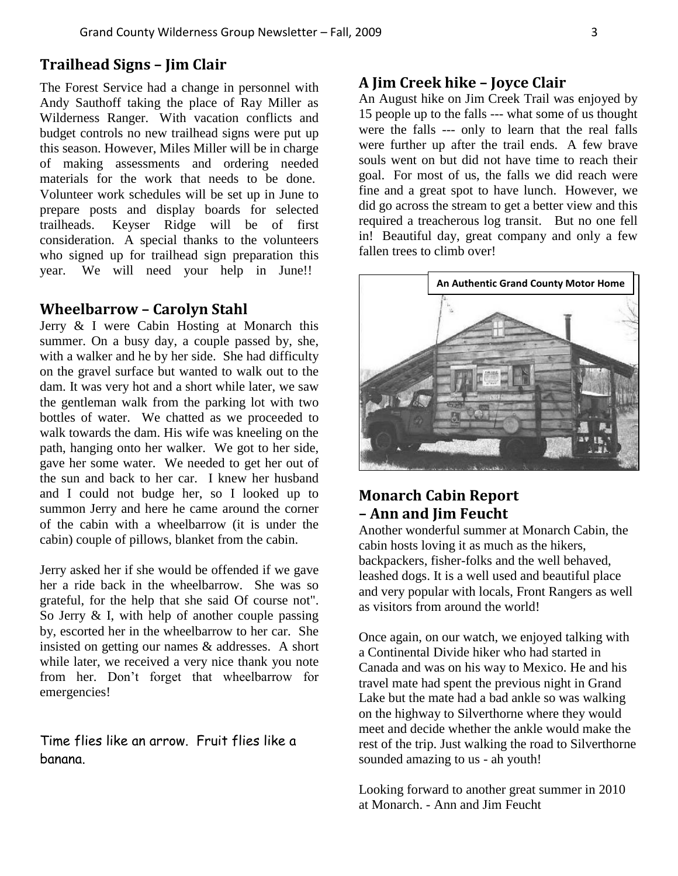### **Trailhead Signs – Jim Clair**

The Forest Service had a change in personnel with Andy Sauthoff taking the place of Ray Miller as Wilderness Ranger. With vacation conflicts and budget controls no new trailhead signs were put up this season. However, Miles Miller will be in charge of making assessments and ordering needed materials for the work that needs to be done. Volunteer work schedules will be set up in June to prepare posts and display boards for selected trailheads. Keyser Ridge will be of first consideration. A special thanks to the volunteers who signed up for trailhead sign preparation this year. We will need your help in June!!

#### **Wheelbarrow – Carolyn Stahl**

Jerry & I were Cabin Hosting at Monarch this summer. On a busy day, a couple passed by, she, with a walker and he by her side. She had difficulty on the gravel surface but wanted to walk out to the dam. It was very hot and a short while later, we saw the gentleman walk from the parking lot with two bottles of water. We chatted as we proceeded to walk towards the dam. His wife was kneeling on the path, hanging onto her walker. We got to her side, gave her some water. We needed to get her out of the sun and back to her car. I knew her husband and I could not budge her, so I looked up to summon Jerry and here he came around the corner of the cabin with a wheelbarrow (it is under the cabin) couple of pillows, blanket from the cabin.

Jerry asked her if she would be offended if we gave her a ride back in the wheelbarrow. She was so grateful, for the help that she said Of course not". So Jerry & I, with help of another couple passing by, escorted her in the wheelbarrow to her car. She insisted on getting our names & addresses. A short while later, we received a very nice thank you note from her. Don't forget that wheelbarrow for emergencies!

Time flies like an arrow. Fruit flies like a banana.

#### **A Jim Creek hike – Joyce Clair**

An August hike on Jim Creek Trail was enjoyed by 15 people up to the falls --- what some of us thought were the falls --- only to learn that the real falls were further up after the trail ends. A few brave souls went on but did not have time to reach their goal. For most of us, the falls we did reach were fine and a great spot to have lunch. However, we did go across the stream to get a better view and this required a treacherous log transit. But no one fell in! Beautiful day, great company and only a few fallen trees to climb over!



## **Monarch Cabin Report – Ann and Jim Feucht**

Another wonderful summer at Monarch Cabin, the cabin hosts loving it as much as the hikers, backpackers, fisher-folks and the well behaved, leashed dogs. It is a well used and beautiful place and very popular with locals, Front Rangers as well as visitors from around the world!

Once again, on our watch, we enjoyed talking with a Continental Divide hiker who had started in Canada and was on his way to Mexico. He and his travel mate had spent the previous night in Grand Lake but the mate had a bad ankle so was walking on the highway to Silverthorne where they would meet and decide whether the ankle would make the rest of the trip. Just walking the road to Silverthorne sounded amazing to us - ah youth!

Looking forward to another great summer in 2010 at Monarch. - Ann and Jim Feucht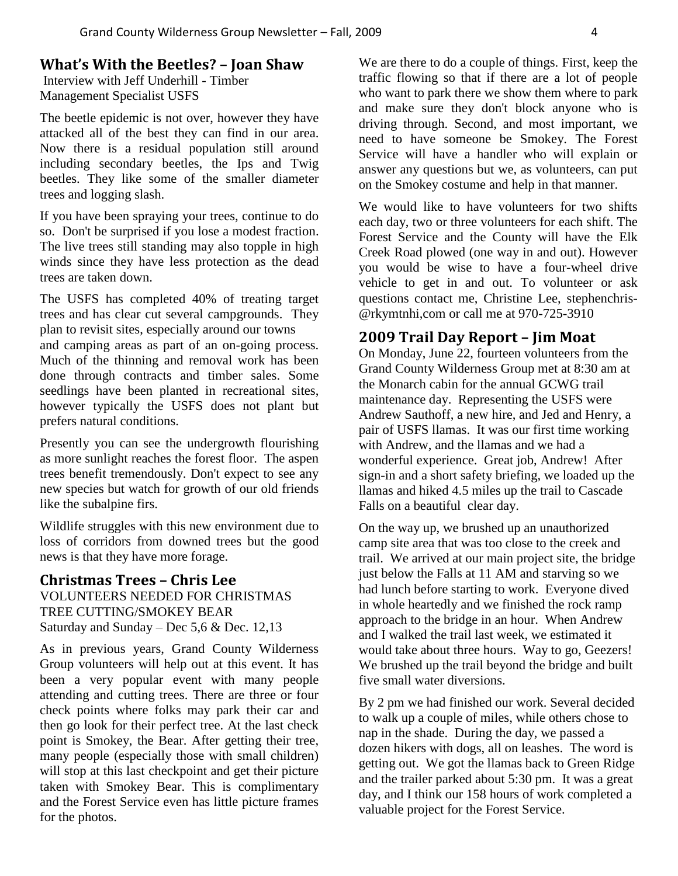### **What's With the Beetles? – Joan Shaw**

Interview with Jeff Underhill - Timber Management Specialist USFS

The beetle epidemic is not over, however they have attacked all of the best they can find in our area. Now there is a residual population still around including secondary beetles, the Ips and Twig beetles. They like some of the smaller diameter trees and logging slash.

If you have been spraying your trees, continue to do so. Don't be surprised if you lose a modest fraction. The live trees still standing may also topple in high winds since they have less protection as the dead trees are taken down.

The USFS has completed 40% of treating target trees and has clear cut several campgrounds. They plan to revisit sites, especially around our towns and camping areas as part of an on-going process. Much of the thinning and removal work has been done through contracts and timber sales. Some seedlings have been planted in recreational sites, however typically the USFS does not plant but prefers natural conditions.

Presently you can see the undergrowth flourishing as more sunlight reaches the forest floor. The aspen trees benefit tremendously. Don't expect to see any new species but watch for growth of our old friends like the subalpine firs.

Wildlife struggles with this new environment due to loss of corridors from downed trees but the good news is that they have more forage.

### **Christmas Trees – Chris Lee** VOLUNTEERS NEEDED FOR CHRISTMAS TREE CUTTING/SMOKEY BEAR Saturday and Sunday – Dec  $5.6 \&$  Dec. 12,13

As in previous years, Grand County Wilderness Group volunteers will help out at this event. It has been a very popular event with many people attending and cutting trees. There are three or four check points where folks may park their car and then go look for their perfect tree. At the last check point is Smokey, the Bear. After getting their tree, many people (especially those with small children) will stop at this last checkpoint and get their picture taken with Smokey Bear. This is complimentary and the Forest Service even has little picture frames for the photos.

We are there to do a couple of things. First, keep the traffic flowing so that if there are a lot of people who want to park there we show them where to park and make sure they don't block anyone who is driving through. Second, and most important, we need to have someone be Smokey. The Forest Service will have a handler who will explain or answer any questions but we, as volunteers, can put on the Smokey costume and help in that manner.

We would like to have volunteers for two shifts each day, two or three volunteers for each shift. The Forest Service and the County will have the Elk Creek Road plowed (one way in and out). However you would be wise to have a four-wheel drive vehicle to get in and out. To volunteer or ask questions contact me, Christine Lee, stephenchris- @rkymtnhi,com or call me at 970-725-3910

### **2009 Trail Day Report – Jim Moat**

On Monday, June 22, fourteen volunteers from the Grand County Wilderness Group met at 8:30 am at the Monarch cabin for the annual GCWG trail maintenance day. Representing the USFS were Andrew Sauthoff, a new hire, and Jed and Henry, a pair of USFS llamas. It was our first time working with Andrew, and the llamas and we had a wonderful experience. Great job, Andrew! After sign-in and a short safety briefing, we loaded up the llamas and hiked 4.5 miles up the trail to Cascade Falls on a beautiful clear day.

On the way up, we brushed up an unauthorized camp site area that was too close to the creek and trail. We arrived at our main project site, the bridge just below the Falls at 11 AM and starving so we had lunch before starting to work. Everyone dived in whole heartedly and we finished the rock ramp approach to the bridge in an hour. When Andrew and I walked the trail last week, we estimated it would take about three hours. Way to go, Geezers! We brushed up the trail beyond the bridge and built five small water diversions.

By 2 pm we had finished our work. Several decided to walk up a couple of miles, while others chose to nap in the shade. During the day, we passed a dozen hikers with dogs, all on leashes. The word is getting out. We got the llamas back to Green Ridge and the trailer parked about 5:30 pm. It was a great day, and I think our 158 hours of work completed a valuable project for the Forest Service.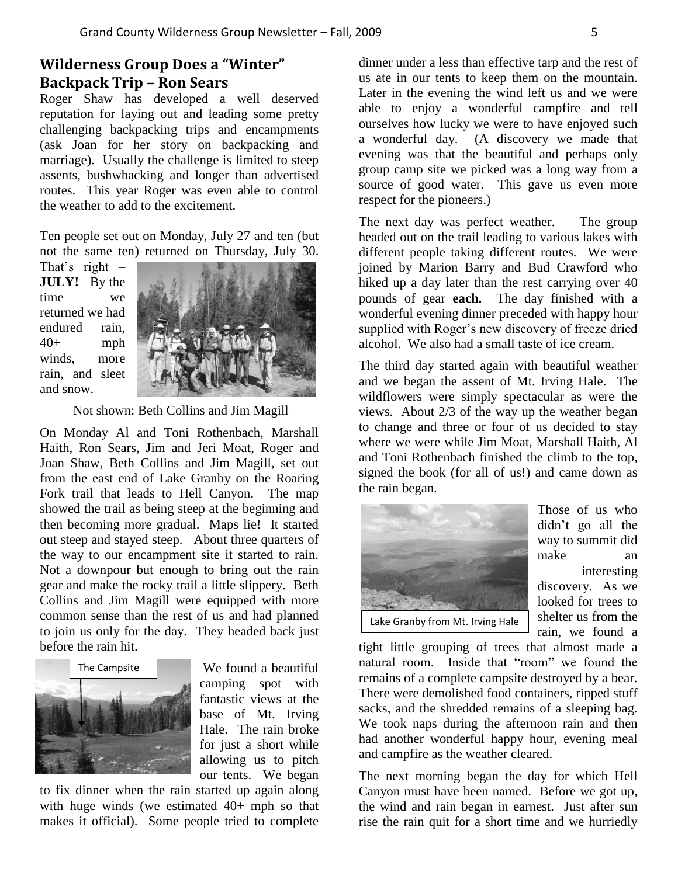## **Wilderness Group Does a "Winter" Backpack Trip – Ron Sears**

Roger Shaw has developed a well deserved reputation for laying out and leading some pretty challenging backpacking trips and encampments (ask Joan for her story on backpacking and marriage). Usually the challenge is limited to steep assents, bushwhacking and longer than advertised routes. This year Roger was even able to control the weather to add to the excitement.

Ten people set out on Monday, July 27 and ten (but not the same ten) returned on Thursday, July 30.

That's right  $-$ **JULY!** By the time we returned we had endured rain,  $40+$  mph winds, more rain, and sleet and snow.



Not shown: Beth Collins and Jim Magill

On Monday Al and Toni Rothenbach, Marshall Haith, Ron Sears, Jim and Jeri Moat, Roger and Joan Shaw, Beth Collins and Jim Magill, set out from the east end of Lake Granby on the Roaring Fork trail that leads to Hell Canyon. The map showed the trail as being steep at the beginning and then becoming more gradual. Maps lie! It started out steep and stayed steep. About three quarters of the way to our encampment site it started to rain. Not a downpour but enough to bring out the rain gear and make the rocky trail a little slippery. Beth Collins and Jim Magill were equipped with more common sense than the rest of us and had planned to join us only for the day. They headed back just before the rain hit.



We found a beautiful camping spot with fantastic views at the base of Mt. Irving Hale. The rain broke for just a short while allowing us to pitch our tents. We began

to fix dinner when the rain started up again along with huge winds (we estimated 40+ mph so that makes it official). Some people tried to complete

dinner under a less than effective tarp and the rest of us ate in our tents to keep them on the mountain. Later in the evening the wind left us and we were able to enjoy a wonderful campfire and tell ourselves how lucky we were to have enjoyed such a wonderful day. (A discovery we made that evening was that the beautiful and perhaps only group camp site we picked was a long way from a source of good water. This gave us even more respect for the pioneers.)

The next day was perfect weather. The group headed out on the trail leading to various lakes with different people taking different routes. We were joined by Marion Barry and Bud Crawford who hiked up a day later than the rest carrying over 40 pounds of gear **each.** The day finished with a wonderful evening dinner preceded with happy hour supplied with Roger's new discovery of freeze dried alcohol. We also had a small taste of ice cream.

The third day started again with beautiful weather and we began the assent of Mt. Irving Hale. The wildflowers were simply spectacular as were the views. About 2/3 of the way up the weather began to change and three or four of us decided to stay where we were while Jim Moat, Marshall Haith, Al and Toni Rothenbach finished the climb to the top, signed the book (for all of us!) and came down as the rain began.



Those of us who didn't go all the way to summit did make an interesting discovery. As we looked for trees to shelter us from the rain, we found a

tight little grouping of trees that almost made a natural room. Inside that "room" we found the remains of a complete campsite destroyed by a bear. There were demolished food containers, ripped stuff sacks, and the shredded remains of a sleeping bag. We took naps during the afternoon rain and then had another wonderful happy hour, evening meal and campfire as the weather cleared.

The next morning began the day for which Hell Canyon must have been named. Before we got up, the wind and rain began in earnest. Just after sun rise the rain quit for a short time and we hurriedly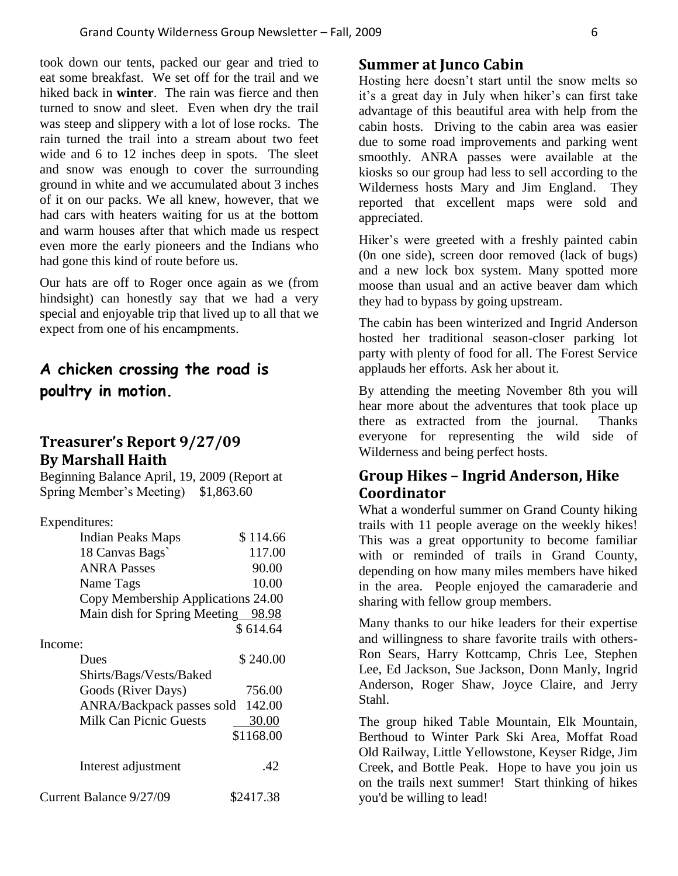took down our tents, packed our gear and tried to eat some breakfast. We set off for the trail and we hiked back in **winter**. The rain was fierce and then turned to snow and sleet. Even when dry the trail was steep and slippery with a lot of lose rocks. The rain turned the trail into a stream about two feet wide and 6 to 12 inches deep in spots. The sleet and snow was enough to cover the surrounding ground in white and we accumulated about 3 inches of it on our packs. We all knew, however, that we had cars with heaters waiting for us at the bottom and warm houses after that which made us respect even more the early pioneers and the Indians who had gone this kind of route before us.

Our hats are off to Roger once again as we (from hindsight) can honestly say that we had a very special and enjoyable trip that lived up to all that we expect from one of his encampments.

# **A chicken crossing the road is poultry in motion.**

### **Treasurer's Report 9/27/09 By Marshall Haith**

Beginning Balance April, 19, 2009 (Report at Spring Member's Meeting) \$1,863.60

| Expenditures:                      |           |
|------------------------------------|-----------|
| <b>Indian Peaks Maps</b>           | \$114.66  |
| 18 Canvas Bags                     | 117.00    |
| <b>ANRA Passes</b>                 | 90.00     |
| Name Tags                          | 10.00     |
| Copy Membership Applications 24.00 |           |
| Main dish for Spring Meeting 98.98 |           |
|                                    | \$614.64  |
| Income:                            |           |
| Dues                               | \$240.00  |
| Shirts/Bags/Vests/Baked            |           |
| Goods (River Days)                 | 756.00    |
| ANRA/Backpack passes sold          | 142.00    |
| <b>Milk Can Picnic Guests</b>      | 30.00     |
|                                    | \$1168.00 |
| Interest adjustment                | .42       |
| Current Balance 9/27/09            | \$2417.38 |

#### **Summer at Junco Cabin**

Hosting here doesn't start until the snow melts so it's a great day in July when hiker's can first take advantage of this beautiful area with help from the cabin hosts. Driving to the cabin area was easier due to some road improvements and parking went smoothly. ANRA passes were available at the kiosks so our group had less to sell according to the Wilderness hosts Mary and Jim England. They reported that excellent maps were sold and appreciated.

Hiker's were greeted with a freshly painted cabin (0n one side), screen door removed (lack of bugs) and a new lock box system. Many spotted more moose than usual and an active beaver dam which they had to bypass by going upstream.

The cabin has been winterized and Ingrid Anderson hosted her traditional season-closer parking lot party with plenty of food for all. The Forest Service applauds her efforts. Ask her about it.

By attending the meeting November 8th you will hear more about the adventures that took place up there as extracted from the journal. Thanks everyone for representing the wild side of Wilderness and being perfect hosts.

## **Group Hikes – Ingrid Anderson, Hike Coordinator**

What a wonderful summer on Grand County hiking trails with 11 people average on the weekly hikes! This was a great opportunity to become familiar with or reminded of trails in Grand County, depending on how many miles members have hiked in the area. People enjoyed the camaraderie and sharing with fellow group members.

Many thanks to our hike leaders for their expertise and willingness to share favorite trails with others-Ron Sears, Harry Kottcamp, Chris Lee, Stephen Lee, Ed Jackson, Sue Jackson, Donn Manly, Ingrid Anderson, Roger Shaw, Joyce Claire, and Jerry Stahl.

The group hiked Table Mountain, Elk Mountain, Berthoud to Winter Park Ski Area, Moffat Road Old Railway, Little Yellowstone, Keyser Ridge, Jim Creek, and Bottle Peak. Hope to have you join us on the trails next summer! Start thinking of hikes you'd be willing to lead!